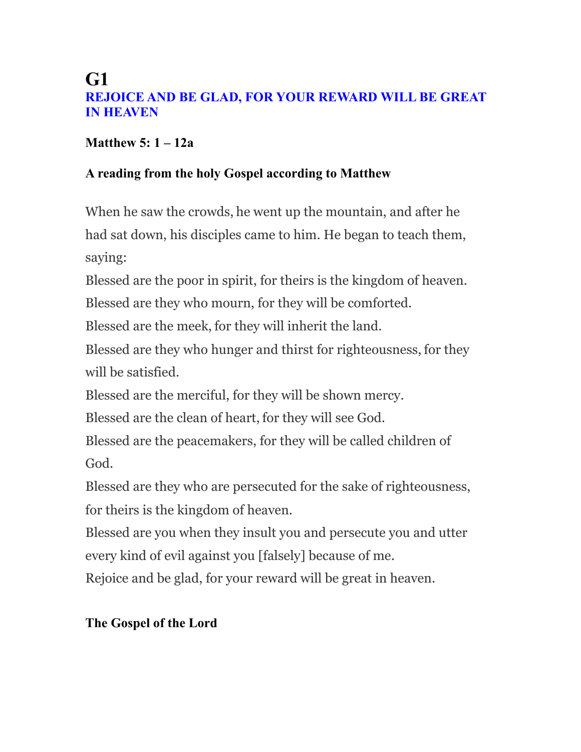# **G1 REJOICE AND BE GLAD, FOR YOUR REWARD WILL BE GREAT IN HEAVEN**

**Matthew 5: 1 – 12a** 

## **A reading from the holy Gospel according to Matthew**

When he saw the crowds, he went up the mountain, and after he had sat down, his disciples came to him. He began to teach them, saying:

Blessed are the poor in spirit, for theirs is the kingdom of heaven. Blessed are they who mourn, for they will be comforted.

Blessed are the meek, for they will inherit the land.

Blessed are they who hunger and thirst for righteousness, for they will be satisfied.

Blessed are the merciful, for they will be shown mercy.

Blessed are the clean of heart, for they will see God.

Blessed are the peacemakers, for they will be called children of God.

Blessed are they who are persecuted for the sake of righteousness,

for theirs is the kingdom of heaven.

Blessed are you when they insult you and persecute you and utter every kind of evil against you [falsely] because of me.

Rejoice and be glad, for your reward will be great in heaven.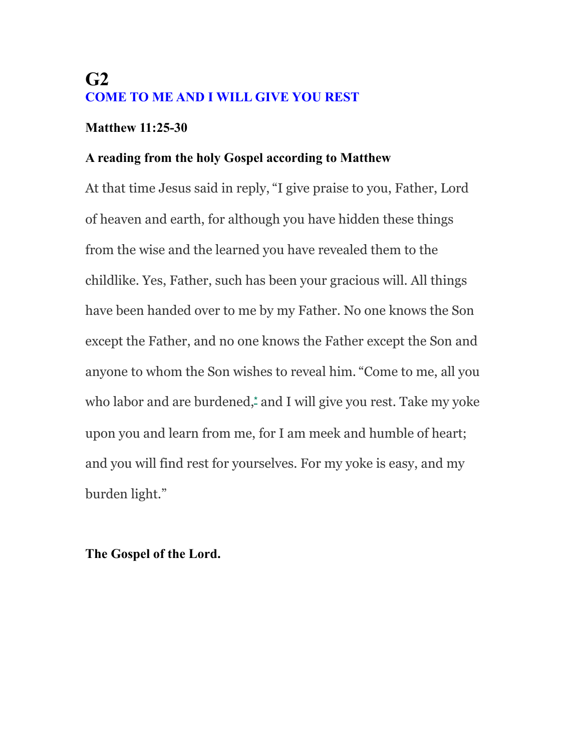# **G2 COME TO ME AND I WILL GIVE YOU REST**

#### **Matthew 11:25-30**

#### **A reading from the holy Gospel according to Matthew**

At that time Jesus said in reply, "I give praise to you, Father, Lord of heaven and earth, for although you have hidden these things from the wise and the learned you have revealed them to the childlike. Yes, Father, such has been your gracious will. All things have been handed over to me by my Father. No one knows the Son except the Father, and no one knows the Father except the Son and anyone to whom the Son wishes to reveal him. "Come to me, all you who labor and are burdened,**[\\*](http://www.usccb.org/bible/matthew/11#48011028-2)** and I will give you rest. Take my yoke upon you and learn from me, for I am meek and humble of heart; and you will find rest for yourselves. For my yoke is easy, and my burden light."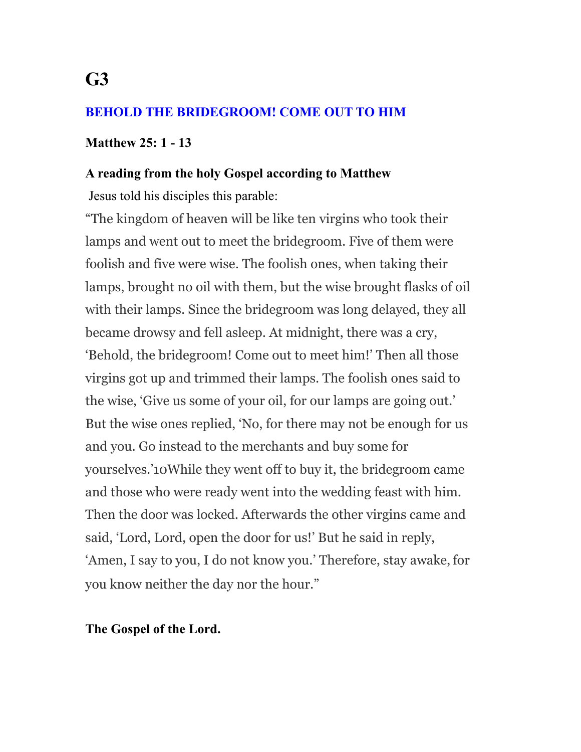# **BEHOLD THE BRIDEGROOM! COME OUT TO HIM**

#### **Matthew 25: 1 - 13**

#### **A reading from the holy Gospel according to Matthew**

Jesus told his disciples this parable:

"The kingdom of heaven will be like ten virgins who took their lamps and went out to meet the bridegroom. Five of them were foolish and five were wise. The foolish ones, when taking their lamps, brought no oil with them, but the wise brought flasks of oil with their lamps. Since the bridegroom was long delayed, they all became drowsy and fell asleep. At midnight, there was a cry, 'Behold, the bridegroom! Come out to meet him!' Then all those virgins got up and trimmed their lamps. The foolish ones said to the wise, 'Give us some of your oil, for our lamps are going out.' But the wise ones replied, 'No, for there may not be enough for us and you. Go instead to the merchants and buy some for yourselves.'10While they went off to buy it, the bridegroom came and those who were ready went into the wedding feast with him. Then the door was locked. Afterwards the other virgins came and said, 'Lord, Lord, open the door for us!' But he said in reply, 'Amen, I say to you, I do not know you.' Therefore, stay awake, for you know neither the day nor the hour."

#### **The Gospel of the Lord.**

# **G3**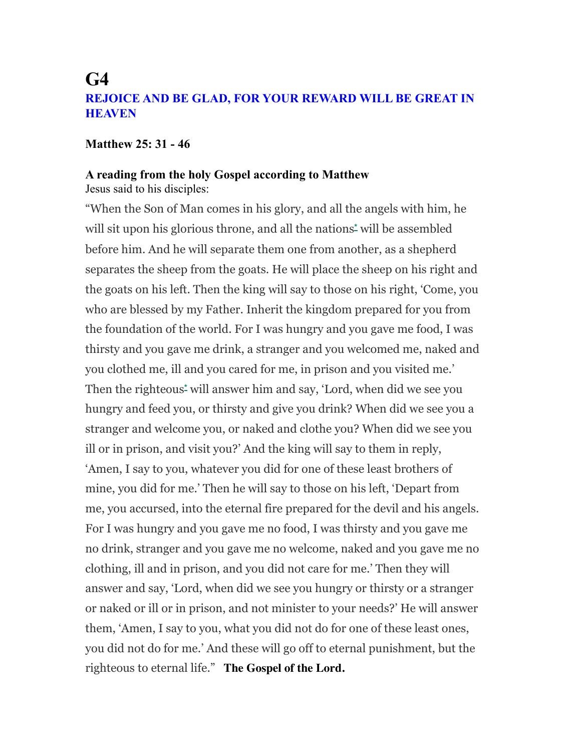# **G4 REJOICE AND BE GLAD, FOR YOUR REWARD WILL BE GREAT IN HEAVEN**

#### **Matthew 25: 31 - 46**

# **A reading from the holy Gospel according to Matthew**

Jesus said to his disciples:

"When the Son of Man comes in his glory, and all the angels with him, he will sit upon his glorious throne, and all the nations**[\\*](http://www.usccb.org/bible/matthew/25#48025032-1)** will be assembled before him. And he will separate them one from another, as a shepherd separates the sheep from the goats. He will place the sheep on his right and the goats on his left. Then the king will say to those on his right, 'Come, you who are blessed by my Father. Inherit the kingdom prepared for you from the foundation of the world. For I was hungry and you gave me food, I was thirsty and you gave me drink, a stranger and you welcomed me, naked and you clothed me, ill and you cared for me, in prison and you visited me.' Then the righteous**[\\*](http://www.usccb.org/bible/matthew/25#48025037-1)** will answer him and say, 'Lord, when did we see you hungry and feed you, or thirsty and give you drink? When did we see you a stranger and welcome you, or naked and clothe you? When did we see you ill or in prison, and visit you?' And the king will say to them in reply, 'Amen, I say to you, whatever you did for one of these least brothers of mine, you did for me.' Then he will say to those on his left, 'Depart from me, you accursed, into the eternal fire prepared for the devil and his angels. For I was hungry and you gave me no food, I was thirsty and you gave me no drink, stranger and you gave me no welcome, naked and you gave me no clothing, ill and in prison, and you did not care for me.' Then they will answer and say, 'Lord, when did we see you hungry or thirsty or a stranger or naked or ill or in prison, and not minister to your needs?' He will answer them, 'Amen, I say to you, what you did not do for one of these least ones, you did not do for me.' And these will go off to eternal punishment, but the righteous to eternal life." **The Gospel of the Lord.**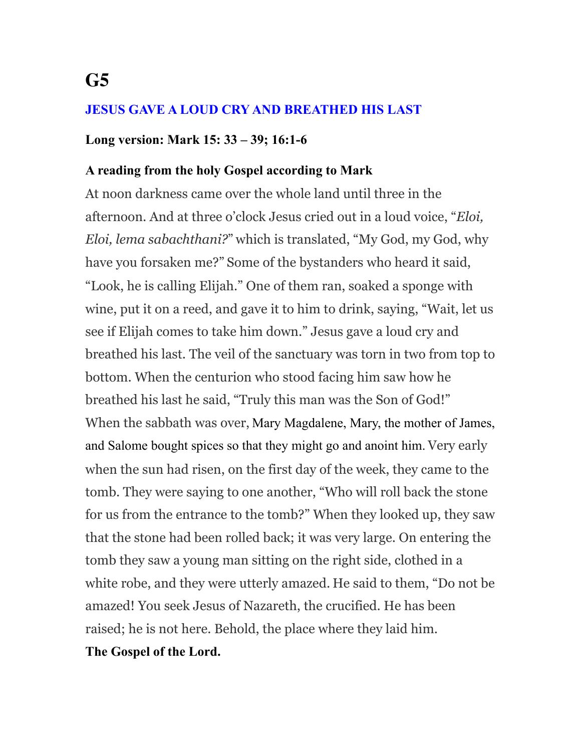## **JESUS GAVE A LOUD CRY AND BREATHED HIS LAST**

#### **Long version: Mark 15: 33 – 39; 16:1-6**

#### **A reading from the holy Gospel according to Mark**

At noon darkness came over the whole land until three in the afternoon. And at three o'clock Jesus cried out in a loud voice, "*Eloi, Eloi, lema sabachthani?*" which is translated, "My God, my God, why have you forsaken me?" Some of the bystanders who heard it said, "Look, he is calling Elijah." One of them ran, soaked a sponge with wine, put it on a reed, and gave it to him to drink, saying, "Wait, let us see if Elijah comes to take him down." Jesus gave a loud cry and breathed his last. The veil of the sanctuary was torn in two from top to bottom. When the centurion who stood facing him saw how he breathed his last he said, "Truly this man was the Son of God!" When the sabbath was over, Mary Magdalene, Mary, the mother of James, and Salome bought spices so that they might go and anoint him. Very early when the sun had risen, on the first day of the week, they came to the tomb. They were saying to one another, "Who will roll back the stone for us from the entrance to the tomb?" When they looked up, they saw that the stone had been rolled back; it was very large. On entering the tomb they saw a young man sitting on the right side, clothed in a white robe, and they were utterly amazed. He said to them, "Do not be amazed! You seek Jesus of Nazareth, the crucified. He has been raised; he is not here. Behold, the place where they laid him.

#### **The Gospel of the Lord.**

# **G5**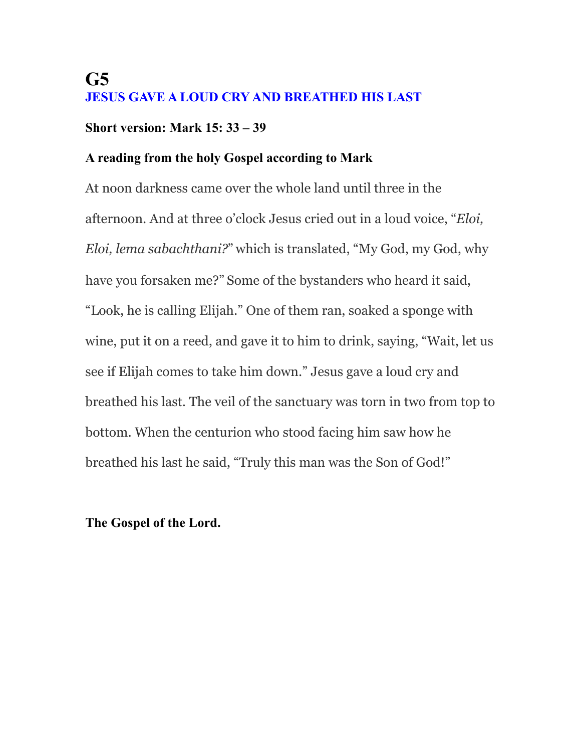# **G5 JESUS GAVE A LOUD CRY AND BREATHED HIS LAST**

#### **Short version: Mark 15: 33 – 39**

## **A reading from the holy Gospel according to Mark**

At noon darkness came over the whole land until three in the afternoon. And at three o'clock Jesus cried out in a loud voice, "*Eloi, Eloi, lema sabachthani?*" which is translated, "My God, my God, why have you forsaken me?" Some of the bystanders who heard it said, "Look, he is calling Elijah." One of them ran, soaked a sponge with wine, put it on a reed, and gave it to him to drink, saying, "Wait, let us see if Elijah comes to take him down." Jesus gave a loud cry and breathed his last. The veil of the sanctuary was torn in two from top to bottom. When the centurion who stood facing him saw how he breathed his last he said, "Truly this man was the Son of God!"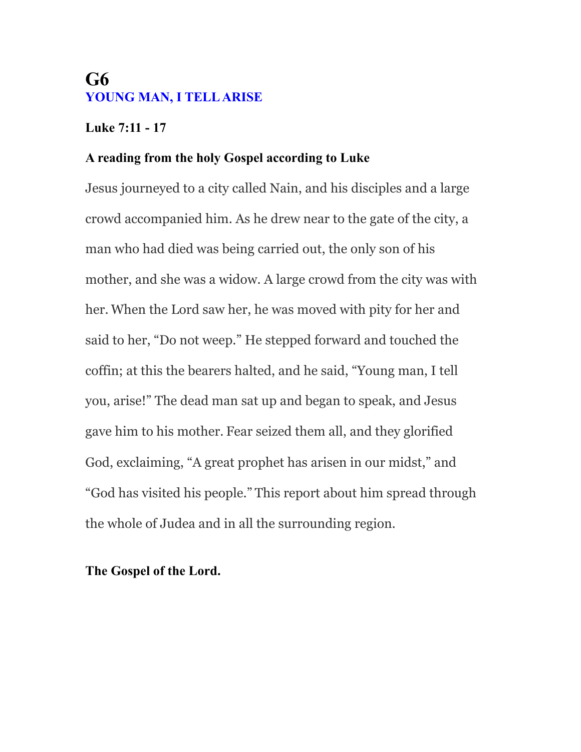# **G6 YOUNG MAN, I TELL ARISE**

#### **Luke 7:11 - 17**

#### **A reading from the holy Gospel according to Luke**

Jesus journeyed to a city called Nain, and his disciples and a large crowd accompanied him. As he drew near to the gate of the city, a man who had died was being carried out, the only son of his mother, and she was a widow. A large crowd from the city was with her. When the Lord saw her, he was moved with pity for her and said to her, "Do not weep." He stepped forward and touched the coffin; at this the bearers halted, and he said, "Young man, I tell you, arise!" The dead man sat up and began to speak, and Jesus gave him to his mother. Fear seized them all, and they glorified God, exclaiming, "A great prophet has arisen in our midst," and "God has visited his people." This report about him spread through the whole of Judea and in all the surrounding region.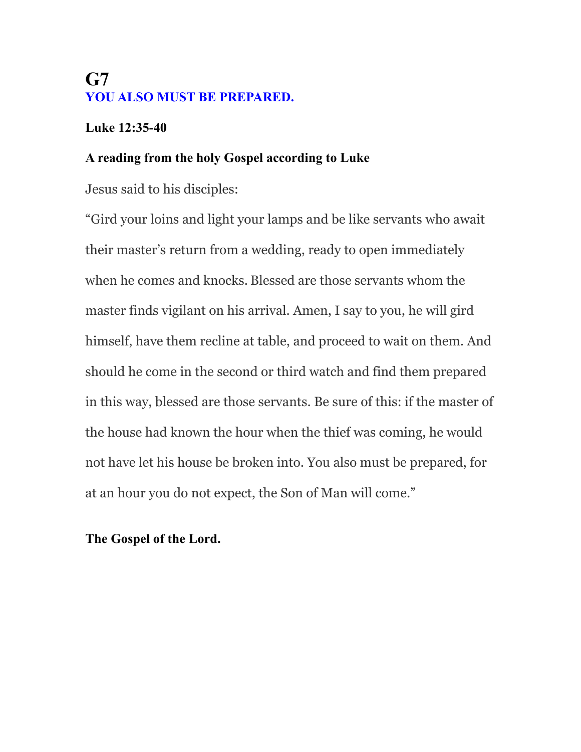# **G7 YOU ALSO MUST BE PREPARED.**

#### **Luke 12:35-40**

### **A reading from the holy Gospel according to Luke**

Jesus said to his disciples:

"Gird your loins and light your lamps and be like servants who await their master's return from a wedding, ready to open immediately when he comes and knocks. Blessed are those servants whom the master finds vigilant on his arrival. Amen, I say to you, he will gird himself, have them recline at table, and proceed to wait on them. And should he come in the second or third watch and find them prepared in this way, blessed are those servants. Be sure of this: if the master of the house had known the hour when the thief was coming, he would not have let his house be broken into. You also must be prepared, for at an hour you do not expect, the Son of Man will come."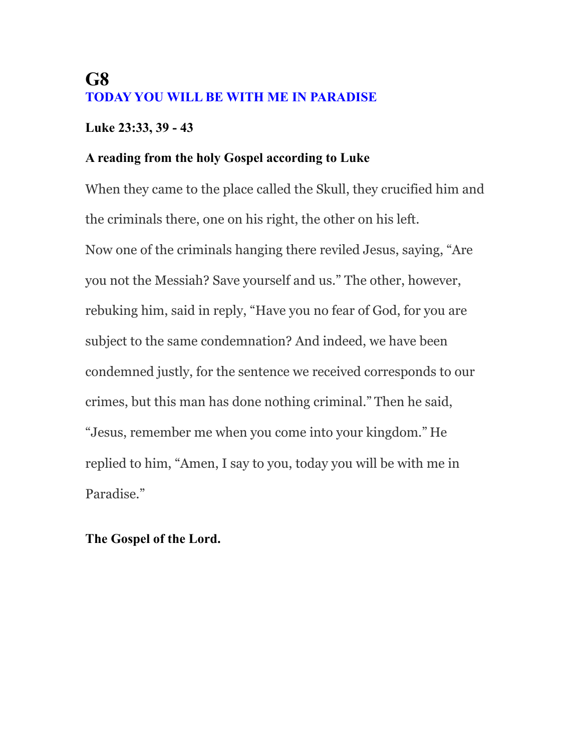# **G8 TODAY YOU WILL BE WITH ME IN PARADISE**

#### **Luke 23:33, 39 - 43**

#### **A reading from the holy Gospel according to Luke**

When they came to the place called the Skull, they crucified him and the criminals there, one on his right, the other on his left. Now one of the criminals hanging there reviled Jesus, saying, "Are you not the Messiah? Save yourself and us." The other, however, rebuking him, said in reply, "Have you no fear of God, for you are subject to the same condemnation? And indeed, we have been condemned justly, for the sentence we received corresponds to our crimes, but this man has done nothing criminal." Then he said, "Jesus, remember me when you come into your kingdom." He replied to him, "Amen, I say to you, today you will be with me in Paradise."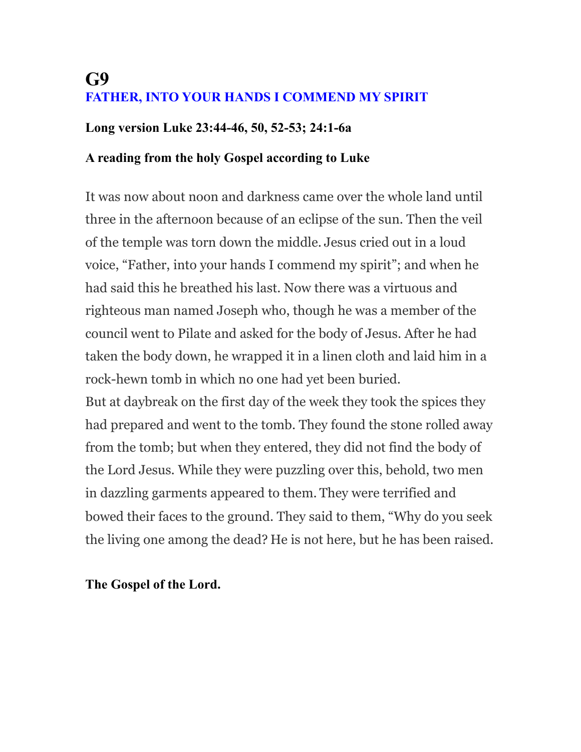# **G9 FATHER, INTO YOUR HANDS I COMMEND MY SPIRIT**

## **Long version Luke 23:44-46, 50, 52-53; 24:1-6a**

## **A reading from the holy Gospel according to Luke**

It was now about noon and darkness came over the whole land until three in the afternoon because of an eclipse of the sun. Then the veil of the temple was torn down the middle. Jesus cried out in a loud voice, "Father, into your hands I commend my spirit"; and when he had said this he breathed his last. Now there was a virtuous and righteous man named Joseph who, though he was a member of the council went to Pilate and asked for the body of Jesus. After he had taken the body down, he wrapped it in a linen cloth and laid him in a rock-hewn tomb in which no one had yet been buried. But at daybreak on the first day of the week they took the spices they had prepared and went to the tomb. They found the stone rolled away from the tomb; but when they entered, they did not find the body of the Lord Jesus. While they were puzzling over this, behold, two men in dazzling garments appeared to them. They were terrified and bowed their faces to the ground. They said to them, "Why do you seek the living one among the dead? He is not here, but he has been raised.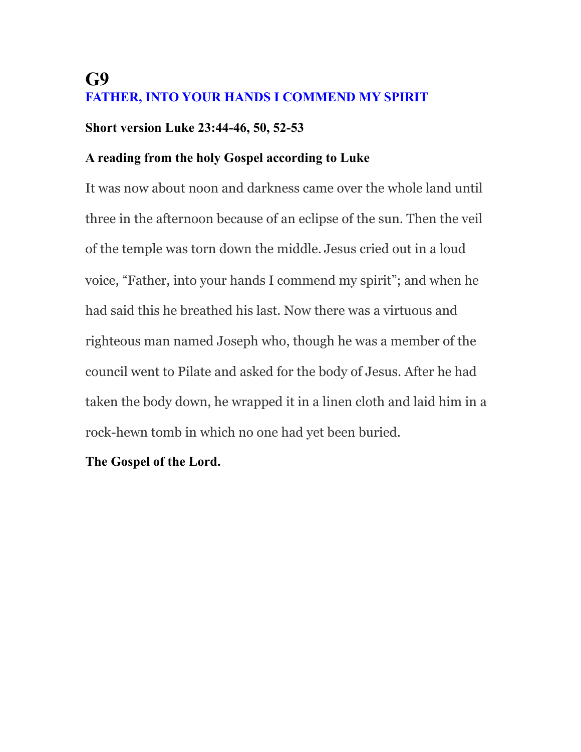# **G9 FATHER, INTO YOUR HANDS I COMMEND MY SPIRIT**

### **Short version Luke 23:44-46, 50, 52-53**

### **A reading from the holy Gospel according to Luke**

It was now about noon and darkness came over the whole land until three in the afternoon because of an eclipse of the sun. Then the veil of the temple was torn down the middle. Jesus cried out in a loud voice, "Father, into your hands I commend my spirit"; and when he had said this he breathed his last. Now there was a virtuous and righteous man named Joseph who, though he was a member of the council went to Pilate and asked for the body of Jesus. After he had taken the body down, he wrapped it in a linen cloth and laid him in a rock-hewn tomb in which no one had yet been buried.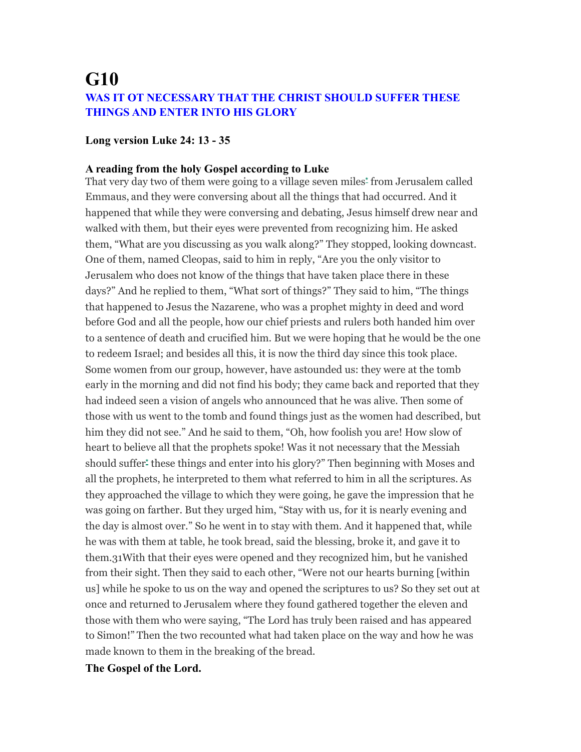# **G10 WAS IT OT NECESSARY THAT THE CHRIST SHOULD SUFFER THESE THINGS AND ENTER INTO HIS GLORY**

#### **Long version Luke 24: 13 - 35**

#### **A reading from the holy Gospel according to Luke**

That very day two of them were going to a village seven miles**[\\*](http://www.usccb.org/bible/luke/24#50024013-2)** from Jerusalem called Emmaus, and they were conversing about all the things that had occurred. And it happened that while they were conversing and debating, Jesus himself drew near and walked with them, but their eyes were prevented from recognizing him. He asked them, "What are you discussing as you walk along?" They stopped, looking downcast. One of them, named Cleopas, said to him in reply, "Are you the only visitor to Jerusalem who does not know of the things that have taken place there in these days?" And he replied to them, "What sort of things?" They said to him, "The things that happened to Jesus the Nazarene, who was a prophet mighty in deed and word before God and all the people, how our chief priests and rulers both handed him over to a sentence of death and crucified him. But we were hoping that he would be the one to redeem Israel; and besides all this, it is now the third day since this took place. Some women from our group, however, have astounded us: they were at the tomb early in the morning and did not find his body; they came back and reported that they had indeed seen a vision of angels who announced that he was alive. Then some of those with us went to the tomb and found things just as the women had described, but him they did not see." And he said to them, "Oh, how foolish you are! How slow of heart to believe all that the prophets spoke! Was it not necessary that the Messiah should suffer**[\\*](http://www.usccb.org/bible/luke/24#50024026-1)** these things and enter into his glory?" Then beginning with Moses and all the prophets, he interpreted to them what referred to him in all the scriptures. As they approached the village to which they were going, he gave the impression that he was going on farther. But they urged him, "Stay with us, for it is nearly evening and the day is almost over." So he went in to stay with them. And it happened that, while he was with them at table, he took bread, said the blessing, broke it, and gave it to them.31With that their eyes were opened and they recognized him, but he vanished from their sight. Then they said to each other, "Were not our hearts burning [within us] while he spoke to us on the way and opened the scriptures to us? So they set out at once and returned to Jerusalem where they found gathered together the eleven and those with them who were saying, "The Lord has truly been raised and has appeared to Simon!" Then the two recounted what had taken place on the way and how he was made known to them in the breaking of the bread.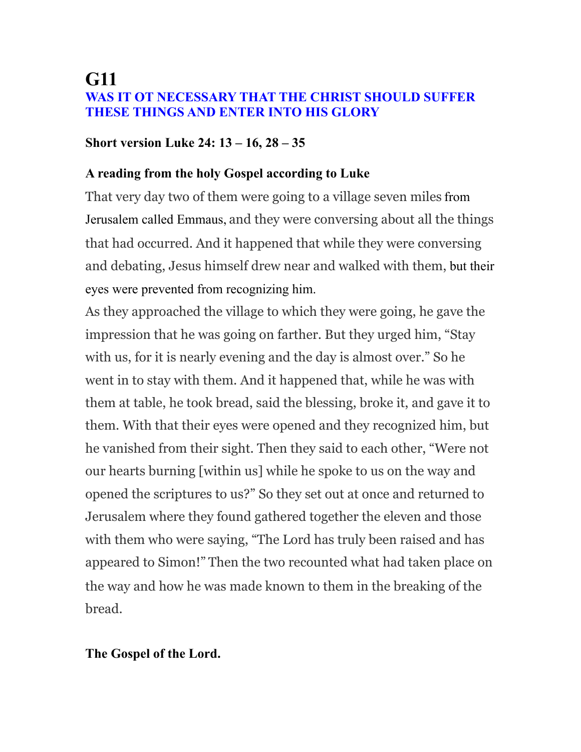# **G11 WAS IT OT NECESSARY THAT THE CHRIST SHOULD SUFFER THESE THINGS AND ENTER INTO HIS GLORY**

## **Short version Luke 24: 13 – 16, 28 – 35**

## **A reading from the holy Gospel according to Luke**

That very day two of them were going to a village seven miles from Jerusalem called Emmaus, and they were conversing about all the things that had occurred. And it happened that while they were conversing and debating, Jesus himself drew near and walked with them, but their eyes were prevented from recognizing him.

As they approached the village to which they were going, he gave the impression that he was going on farther. But they urged him, "Stay with us, for it is nearly evening and the day is almost over." So he went in to stay with them. And it happened that, while he was with them at table, he took bread, said the blessing, broke it, and gave it to them. With that their eyes were opened and they recognized him, but he vanished from their sight. Then they said to each other, "Were not our hearts burning [within us] while he spoke to us on the way and opened the scriptures to us?" So they set out at once and returned to Jerusalem where they found gathered together the eleven and those with them who were saying, "The Lord has truly been raised and has appeared to Simon!" Then the two recounted what had taken place on the way and how he was made known to them in the breaking of the bread.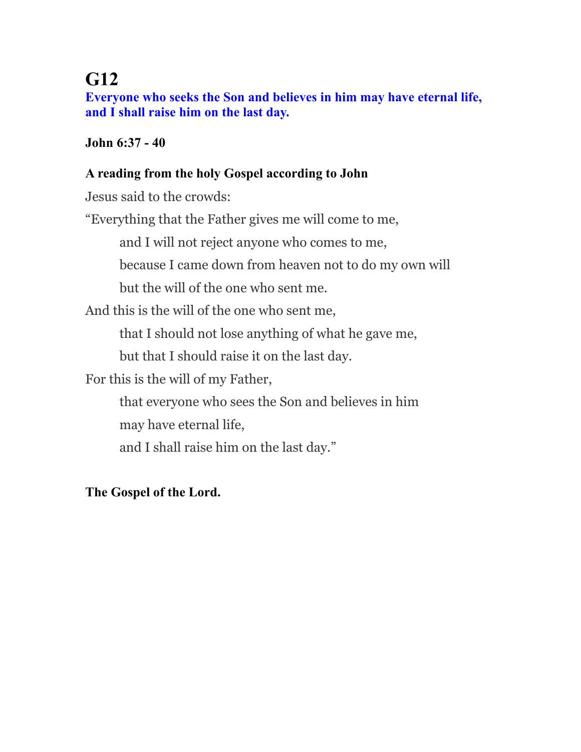# **G12**

**Everyone who seeks the Son and believes in him may have eternal life, and I shall raise him on the last day.** 

**John 6:37 - 40** 

## **A reading from the holy Gospel according to John**

Jesus said to the crowds:

"Everything that the Father gives me will come to me,

and I will not reject anyone who comes to me,

because I came down from heaven not to do my own will

but the will of the one who sent me.

And this is the will of the one who sent me,

that I should not lose anything of what he gave me,

but that I should raise it on the last day.

For this is the will of my Father,

that everyone who sees the Son and believes in him may have eternal life,

and I shall raise him on the last day."